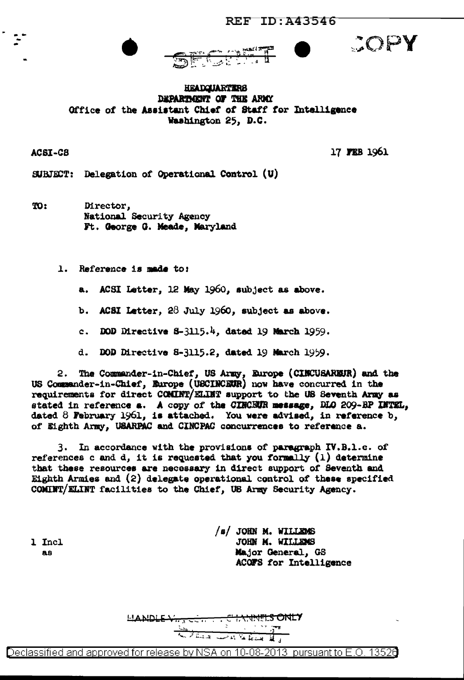



COPY

**HEADQUARTERS** DEPARTMENT OF THE ARMY Office of the Assistant Chief of Staff for Intelligence Washington 25, D.C.

ACSI-C8

17 FEB 1961

SUBJECT: Delegation of Operational Control (U)

TO: Director, National Security Agency Ft. George G. Meade, Maryland

1. Reference is made to:

ACSI Letter, 12 May 1960, subject as above. а.

b. ACSI Letter,  $28$  July 1960, subject as above.

c. DOD Directive  $3-3115.4$ , dated 19 March 1959.

d. DOD Directive 8-3115.2, dated 19 March 1959.

The Commander-in-Chief, US Army, Europe (CINCUSAREUR) and the 2. US Commander-in-Chief, Europe (USCINCEUR) now have concurred in the requirements for direct COMINT/ELINT support to the US Seventh Army as stated in reference a. A copy of the CINCEUR message, DLO 209-BP INTEL, dated  $8$  February 1961, is attached. You were advised, in reference  $b_j$ of Eighth Army, USARPAC and CINCPAC concurrences to reference a.

3. In accordance with the provisions of paragraph IV.B.1.c. of references c and d, it is requested that you formally  $(1)$  determine that these resources are necessary in direct support of Seventh and Eighth Armies and  $(2)$  delegate operational control of these specified COMINT/ELINT facilities to the Chief, US Army Security Agency.

1 Incl 88

/s/ JOHN M. WILLEMS JOHN M. WILLEMS Major General, GS ACOFS for Intelligence

LANDLE VI. **LS ONLY** للسنط لمعامله الديسة